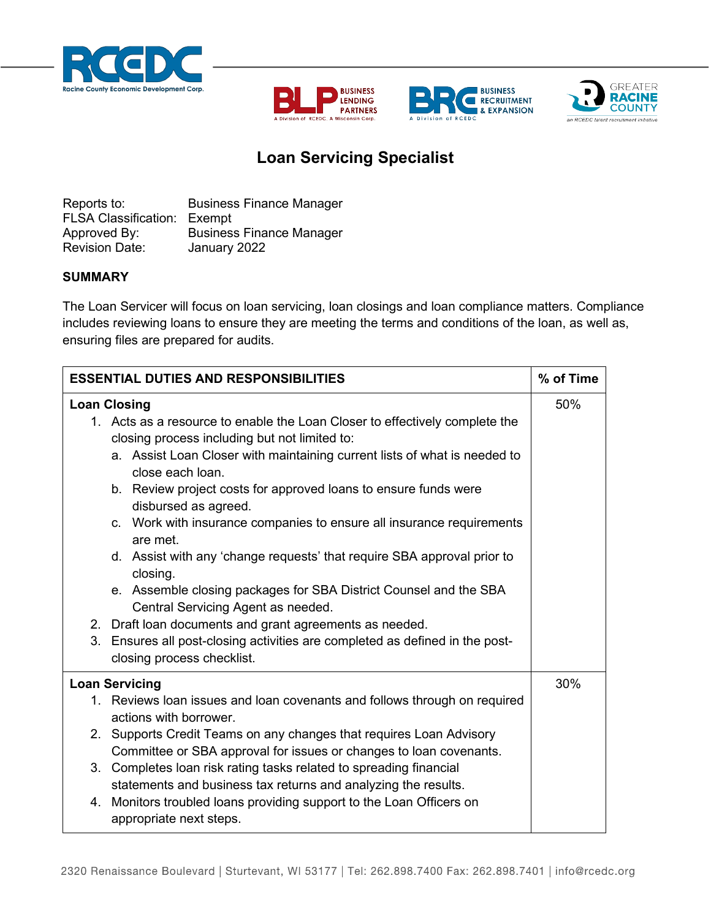







## **Loan Servicing Specialist**

Reports to: **Business Finance Manager** FLSA Classification: Exempt Approved By: Business Finance Manager Revision Date: January 2022

## **SUMMARY**

The Loan Servicer will focus on loan servicing, loan closings and loan compliance matters. Compliance includes reviewing loans to ensure they are meeting the terms and conditions of the loan, as well as, ensuring files are prepared for audits.

| <b>ESSENTIAL DUTIES AND RESPONSIBILITIES</b>                                                                                                                                                                                                                                                                                                                                                                                                                                                                                                                                                                                                                                                                                                                                                                    | % of Time |
|-----------------------------------------------------------------------------------------------------------------------------------------------------------------------------------------------------------------------------------------------------------------------------------------------------------------------------------------------------------------------------------------------------------------------------------------------------------------------------------------------------------------------------------------------------------------------------------------------------------------------------------------------------------------------------------------------------------------------------------------------------------------------------------------------------------------|-----------|
| <b>Loan Closing</b><br>1. Acts as a resource to enable the Loan Closer to effectively complete the<br>closing process including but not limited to:<br>a. Assist Loan Closer with maintaining current lists of what is needed to<br>close each loan.<br>b. Review project costs for approved loans to ensure funds were<br>disbursed as agreed.<br>c. Work with insurance companies to ensure all insurance requirements<br>are met.<br>d. Assist with any 'change requests' that require SBA approval prior to<br>closing.<br>e. Assemble closing packages for SBA District Counsel and the SBA<br>Central Servicing Agent as needed.<br>2. Draft loan documents and grant agreements as needed.<br>3. Ensures all post-closing activities are completed as defined in the post-<br>closing process checklist. | 50%       |
| <b>Loan Servicing</b><br>1. Reviews loan issues and loan covenants and follows through on required<br>actions with borrower.<br>2. Supports Credit Teams on any changes that requires Loan Advisory<br>Committee or SBA approval for issues or changes to loan covenants.<br>3. Completes loan risk rating tasks related to spreading financial<br>statements and business tax returns and analyzing the results.<br>4. Monitors troubled loans providing support to the Loan Officers on<br>appropriate next steps.                                                                                                                                                                                                                                                                                            | 30%       |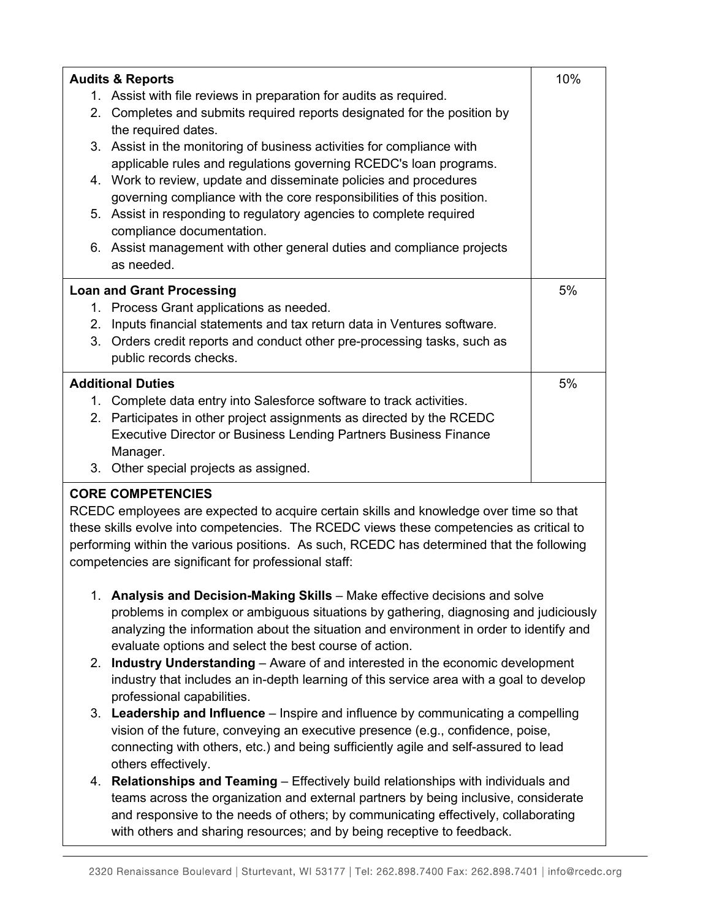| <b>Audits &amp; Reports</b>                                                                                                                 | 10% |  |
|---------------------------------------------------------------------------------------------------------------------------------------------|-----|--|
| 1. Assist with file reviews in preparation for audits as required.                                                                          |     |  |
| 2. Completes and submits required reports designated for the position by<br>the required dates.                                             |     |  |
| 3. Assist in the monitoring of business activities for compliance with<br>applicable rules and regulations governing RCEDC's loan programs. |     |  |
| 4. Work to review, update and disseminate policies and procedures<br>governing compliance with the core responsibilities of this position.  |     |  |
| 5. Assist in responding to regulatory agencies to complete required<br>compliance documentation.                                            |     |  |
| 6. Assist management with other general duties and compliance projects                                                                      |     |  |
| as needed.                                                                                                                                  |     |  |
| <b>Loan and Grant Processing</b>                                                                                                            | 5%  |  |
| 1. Process Grant applications as needed.                                                                                                    |     |  |
| Inputs financial statements and tax return data in Ventures software.<br>2.                                                                 |     |  |
| 3. Orders credit reports and conduct other pre-processing tasks, such as                                                                    |     |  |
| public records checks.                                                                                                                      |     |  |
| <b>Additional Duties</b>                                                                                                                    | 5%  |  |
| 1. Complete data entry into Salesforce software to track activities.                                                                        |     |  |
| 2. Participates in other project assignments as directed by the RCEDC                                                                       |     |  |
| <b>Executive Director or Business Lending Partners Business Finance</b>                                                                     |     |  |
| Manager.                                                                                                                                    |     |  |
| 3.<br>Other special projects as assigned.                                                                                                   |     |  |
| <b>CORE COMPETENCIES</b>                                                                                                                    |     |  |

RCEDC employees are expected to acquire certain skills and knowledge over time so that these skills evolve into competencies. The RCEDC views these competencies as critical to performing within the various positions. As such, RCEDC has determined that the following competencies are significant for professional staff:

- 1. **Analysis and Decision-Making Skills** Make effective decisions and solve problems in complex or ambiguous situations by gathering, diagnosing and judiciously analyzing the information about the situation and environment in order to identify and evaluate options and select the best course of action.
- 2. **Industry Understanding** Aware of and interested in the economic development industry that includes an in-depth learning of this service area with a goal to develop professional capabilities.
- 3. **Leadership and Influence** Inspire and influence by communicating a compelling vision of the future, conveying an executive presence (e.g., confidence, poise, connecting with others, etc.) and being sufficiently agile and self-assured to lead others effectively.
- 4. **Relationships and Teaming**  Effectively build relationships with individuals and teams across the organization and external partners by being inclusive, considerate and responsive to the needs of others; by communicating effectively, collaborating with others and sharing resources; and by being receptive to feedback.